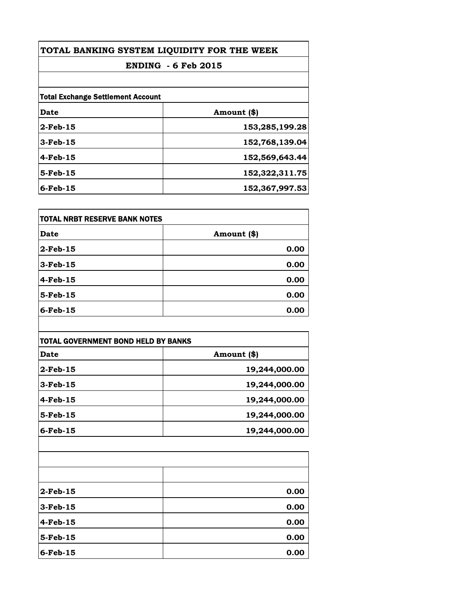| TOTAL BANKING SYSTEM LIQUIDITY FOR THE WEEK<br><b>ENDING - 6 Feb 2015</b> |                |
|---------------------------------------------------------------------------|----------------|
|                                                                           |                |
| <b>Total Exchange Settlement Account</b>                                  |                |
| Date                                                                      | Amount (\$)    |
| $2$ -Feb-15                                                               | 153,285,199.28 |
| $3-Feb-15$                                                                | 152,768,139.04 |
| $4-Feb-15$                                                                | 152,569,643.44 |
| $5$ -Feb-15                                                               | 152,322,311.75 |
| $6$ -Feb-15                                                               | 152,367,997.53 |

| TOTAL NRBT RESERVE BANK NOTES |             |
|-------------------------------|-------------|
| <b>Date</b>                   | Amount (\$) |
| $2$ -Feb-15                   | 0.00        |
| $3$ -Feb-15                   | 0.00        |
| $4$ -Feb-15                   | 0.00        |
| $5$ -Feb-15                   | 0.00        |
| $6$ -Feb-15                   | 0.00        |

| Date        | Amount (\$)   |
|-------------|---------------|
| $2$ -Feb-15 | 19,244,000.00 |
| $3-Feb-15$  | 19,244,000.00 |
| 4-Feb-15    | 19,244,000.00 |
| $5$ -Feb-15 | 19,244,000.00 |
| $6$ -Feb-15 | 19,244,000.00 |
|             |               |
|             |               |
|             |               |
| $2$ -Feb-15 | 0.00          |

| $2$ -Feb-15 | 0.00 |
|-------------|------|
| $3$ -Feb-15 | 0.00 |
| $4$ -Feb-15 | 0.00 |
| $5$ -Feb-15 | 0.00 |
| $6$ -Feb-15 | 0.00 |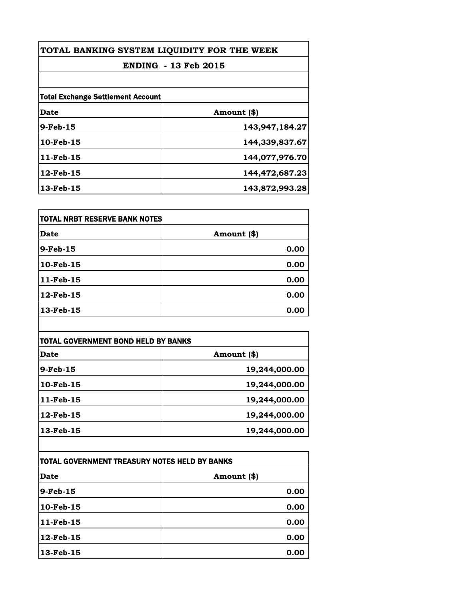| TOTAL BANKING SYSTEM LIQUIDITY FOR THE WEEK<br><b>ENDING - 13 Feb 2015</b> |                |
|----------------------------------------------------------------------------|----------------|
|                                                                            |                |
| <b>Total Exchange Settlement Account</b>                                   |                |
| Date                                                                       | Amount (\$)    |
| $9-Feb-15$                                                                 | 143,947,184.27 |
| 10-Feb-15                                                                  | 144,339,837.67 |
| 11-Feb-15                                                                  | 144,077,976.70 |
| 12-Feb-15                                                                  | 144,472,687.23 |
| 13-Feb-15                                                                  | 143,872,993.28 |

| <b>TOTAL NRBT RESERVE BANK NOTES</b> |             |
|--------------------------------------|-------------|
| Date                                 | Amount (\$) |
| 9-Feb-15                             | 0.00        |
| 10-Feb-15                            | 0.00        |
| 11-Feb-15                            | 0.00        |
| 12-Feb-15                            | 0.00        |
| 13-Feb-15                            | 0.00        |

| <b>TOTAL GOVERNMENT BOND HELD BY BANKS</b> |               |
|--------------------------------------------|---------------|
| Date                                       | Amount (\$)   |
| $9$ -Feb-15                                | 19,244,000.00 |
| 10-Feb-15                                  | 19,244,000.00 |
| 11-Feb-15                                  | 19,244,000.00 |
| 12-Feb-15                                  | 19,244,000.00 |
| 13-Feb-15                                  | 19,244,000.00 |

| TOTAL GOVERNMENT TREASURY NOTES HELD BY BANKS |              |
|-----------------------------------------------|--------------|
| <b>Date</b>                                   | Amount $(*)$ |
| $9$ -Feb-15                                   | 0.00         |
| 10-Feb-15                                     | 0.00         |
| 11-Feb-15                                     | 0.00         |
| 12-Feb-15                                     | 0.00         |
| 13-Feb-15                                     | 0.00         |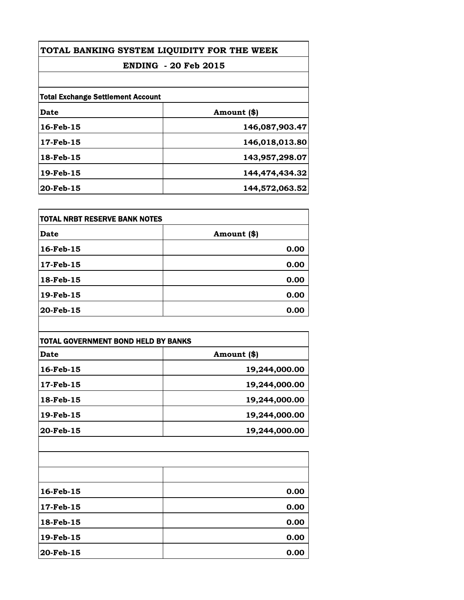| TOTAL BANKING SYSTEM LIQUIDITY FOR THE WEEK<br><b>ENDING - 20 Feb 2015</b> |                |  |
|----------------------------------------------------------------------------|----------------|--|
|                                                                            |                |  |
| <b>Total Exchange Settlement Account</b>                                   |                |  |
| Date                                                                       | Amount (\$)    |  |
| 16-Feb-15                                                                  | 146,087,903.47 |  |
| 17-Feb-15                                                                  | 146,018,013.80 |  |
| 18-Feb-15                                                                  | 143,957,298.07 |  |
| 19-Feb-15                                                                  | 144,474,434.32 |  |
| $20$ -Feb-15                                                               | 144,572,063.52 |  |

| <b>TOTAL NRBT RESERVE BANK NOTES</b> |             |
|--------------------------------------|-------------|
| Date                                 | Amount (\$) |
| 16-Feb-15                            | 0.00        |
| 17-Feb-15                            | 0.00        |
| 18-Feb-15                            | 0.00        |
| 19-Feb-15                            | 0.00        |
| 20-Feb-15                            | 0.00        |

| <b>Date</b> | Amount (\$)   |
|-------------|---------------|
| 16-Feb-15   | 19,244,000.00 |
| 17-Feb-15   | 19,244,000.00 |
| 18-Feb-15   | 19,244,000.00 |
| 19-Feb-15   | 19,244,000.00 |
| 20-Feb-15   | 19,244,000.00 |
|             |               |
|             |               |
|             |               |
|             |               |

| 16-Feb-15 | 0.00 |
|-----------|------|
| 17-Feb-15 | 0.00 |
| 18-Feb-15 | 0.00 |
| 19-Feb-15 | 0.00 |
| 20-Feb-15 | 0.00 |